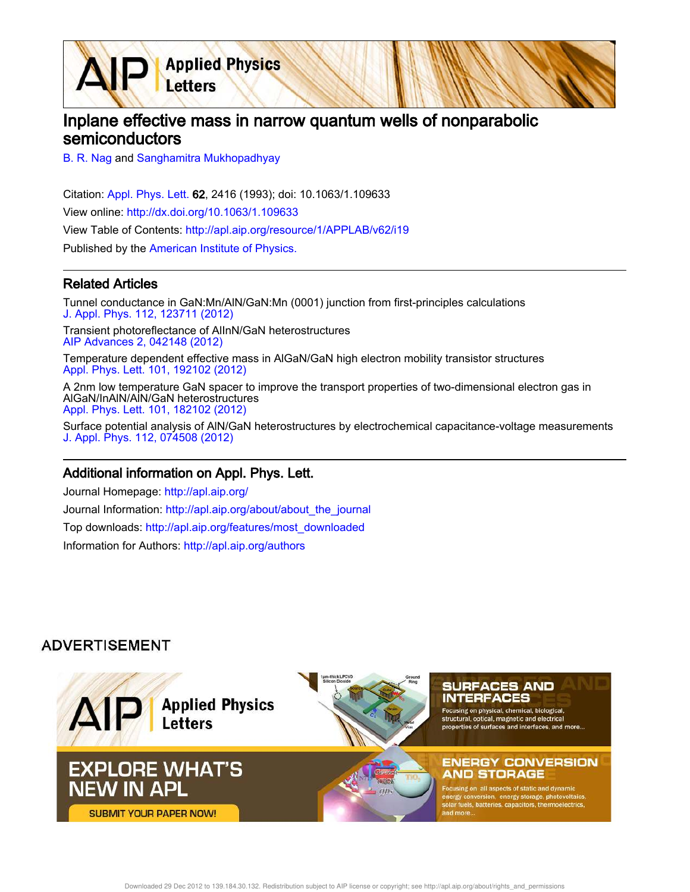Inplane effective mass in narrow quantum wells of nonparabolic semiconductors

B. R. Nag and Sanghamitra Mukhopadhyay

Letters

Citation: Appl. Phys. Lett. 62, 2416 (1993); doi: 10.1063/1.109633 View online: http://dx.doi.org/10.1063/1.109633 View Table of Contents: http://apl.aip.org/resource/1/APPLAB/v62/i19 Published by the American Institute of Physics.

**Applied Physics** 

## Related Articles

Tunnel conductance in GaN:Mn/AlN/GaN:Mn (0001) junction from first-principles calculations J. Appl. Phys. 112, 123711 (2012)

Transient photoreflectance of AlInN/GaN heterostructures AIP Advances 2, 042148 (2012)

Temperature dependent effective mass in AlGaN/GaN high electron mobility transistor structures Appl. Phys. Lett. 101, 192102 (2012)

A 2nm low temperature GaN spacer to improve the transport properties of two-dimensional electron gas in AlGaN/InAlN/AlN/GaN heterostructures Appl. Phys. Lett. 101, 182102 (2012)

Surface potential analysis of AlN/GaN heterostructures by electrochemical capacitance-voltage measurements J. Appl. Phys. 112, 074508 (2012)

## Additional information on Appl. Phys. Lett.

Journal Homepage: http://apl.aip.org/ Journal Information: http://apl.aip.org/about/about\_the\_journal Top downloads: http://apl.aip.org/features/most\_downloaded Information for Authors: http://apl.aip.org/authors

## **ADVERTISEMENT**

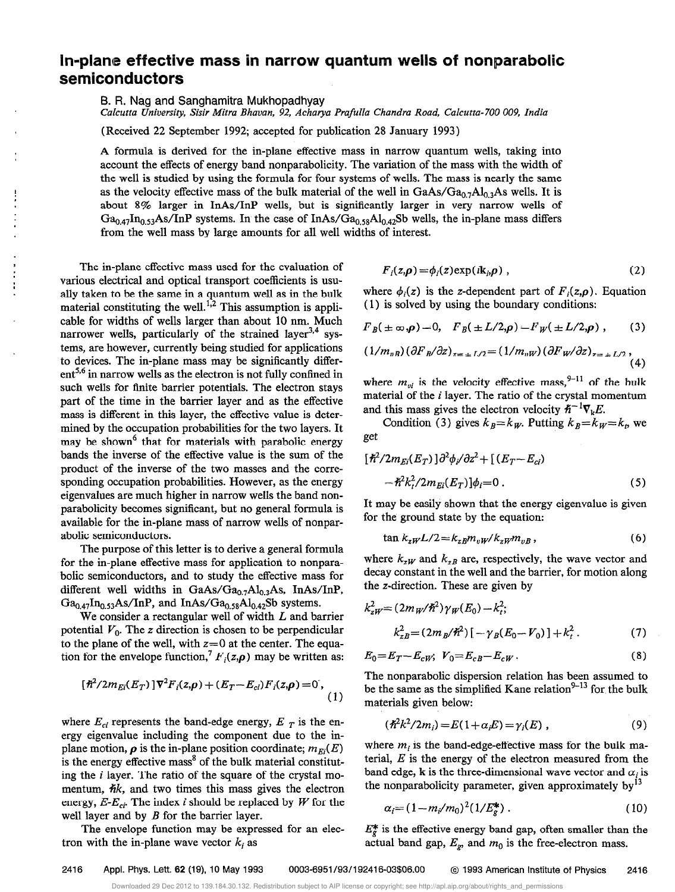## In-plane effective mass in narrow quantum wells of nonparabolic semiconductors

8. R. Nag and Sanghamitra Mukhopadhyay

Calcutta University, Sisir Mitra Bhavan, 92, Acharya Prafulla Chandra Road, Calcutta-700 009, India

(Received 22 September 1992; accepted for publication 28 January 1993)

A formula is derived for the in-plane effective mass in narrow quantum wells, taking into account the effects of energy band nonparabolicity. The variation of the mass with the width of the well is studied by using the formula for four systems of wells. The mass is nearly the same as the velocity effective mass of the bulk material of the well in  $GaAs/Ga<sub>0.7</sub>Al<sub>0.3</sub>As$  wells. It is about 8% larger in InAs/InP wells, but is significantly larger in very narrow wells of  $Ga_{0.47}In_{0.53}As/InP$  systems. In the case of InAs/ $Ga_{0.58}Al_{0.42}Sb$  wells, the in-plane mass differs from the well mass by large amounts for all well widths of interest.

The in-plane effective mass used for the evaluation of various electrical and optical transport coefficients is usually taken to be the same in a quantum well as in the bulk material constituting the well.<sup>1,2</sup> This assumption is applicable for widths of wells larger than about 10 nm. Much narrower wells, particularly of the strained layer<sup>3,4</sup> systems, are however, currently being studied for applications to devices. The in-plane mass may be significantly differ $ent^{5,6}$  in narrow wells as the electron is not fully confined in such wells for finite barrier potentials. The electron stays part of the time in the barrier layer and as the effective mass is different in this layer, the effective value is determined by the occupation probabilities for the two layers. It may be shown<sup>6</sup> that for materials with parabolic energy bands the inverse of the effective value is the sum of the product of the inverse of the two masses and the corresponding occupation probabilities. However, as the energy eigenvalues are much higher in narrow wells the band nonparabolicity becomes significant, but no general formula is available for the in-plane mass of narrow wells of nonparabolic semiconductors.

The purpose of this letter is to derive a general formula for the in-plane effective mass for application to nonparabolic semiconductors, and to study the effective mass for different well widths in GaAs/Ga<sub>0.7</sub>Al<sub>0.3</sub>As, InAs/InP,  $Ga_{0.47}$ In<sub>0.53</sub>As/InP, and InAs/Ga<sub>0.58</sub>Al<sub>0.42</sub>Sb systems.

We consider a rectangular well of width  $L$  and barrier potential  $V_0$ . The z direction is chosen to be perpendicular to the plane of the well, with  $z=0$  at the center. The equation for the envelope function,<sup>7</sup>  $F_i(z,\rho)$  may be written as:

$$
[\hbar^2/2m_{Ei}(E_T)]\nabla^2 F_i(z,\rho) + (E_T - E_{ci})F_i(z,\rho) = 0,
$$
\n(1)

where  $E_{ci}$  represents the band-edge energy,  $E_T$  is the energy eigenvalue including the component due to the inplane motion,  $\rho$  is the in-plane position coordinate;  $m_{E_i}(E)$ is the energy effective mass<sup>8</sup> of the bulk material constituting the  $i$  layer. The ratio of the square of the crystal momentum,  $\hbar k$ , and two times this mass gives the electron energy,  $E-E_{ci}$ . The index i should be replaced by W for the well layer and by  $B$  for the barrier layer.

The envelope function may be expressed for an electron with the in-plane wave vector  $k_i$  as

$$
F_i(z,\boldsymbol{\rho}) = \phi_i(z) \exp(i\mathbf{k}_i, \boldsymbol{\rho}) \;, \tag{2}
$$

where  $\phi_i(z)$  is the z-dependent part of  $F_i(z,\rho)$ . Equation ( 1) is solved by using the boundary conditions:

$$
F_B(\pm \infty, \rho) = 0
$$
,  $F_B(\pm L/2, \rho) = F_W(\pm L/2, \rho)$ , (3)

$$
(1/m_{vB})(\partial F_B/\partial z)_{z=\pm L/2} = (1/m_{vW})(\partial F_W/\partial z)_{z=\pm L/2},
$$
\n(4)

where  $m_{vi}$  is the velocity effective mass, <sup>9-11</sup> of the bulk material of the i layer. The ratio of the crystal momentum and this mass gives the electron velocity  $h^{-1}\nabla$ <sub>v</sub>E.

Condition (3) gives  $k_B = k_W$ . Putting  $k_B = k_W = k_p$  we get

$$
\begin{aligned} [\hbar^2/2m_{Ei}(E_T)]\partial^2\phi_i/\partial z^2 + [(E_T - E_{ci})\\ -\hbar^2 k_i^2/2m_{Ei}(E_T)]\phi_i &= 0 \,. \end{aligned} \tag{5}
$$

It may be easily shown that the energy eigenvalue is given for the ground state by the equation:

$$
\tan k_{zW}L/2 = k_{zB}m_{vW}/k_{zW}m_{vB},\qquad(6)
$$

where  $k_{zW}$  and  $k_{zB}$  are, respectively, the wave vector and decay constant in the well and the barrier, for motion along the z-direction. These are given by

$$
k_{zW}^{2} = (2m_{W}/\hbar^{2})\gamma_{W}(E_{0}) - k_{t}^{2};
$$
  
\n
$$
k_{zB}^{2} = (2m_{B}/\hbar^{2})[-\gamma_{B}(E_{0} - V_{0})] + k_{t}^{2}.
$$
 (7)

$$
E_0=E_T-E_{cW};\ V_0=E_{cB}-E_{cW}.\tag{8}
$$

The nonparabolic dispersion relation has been assumed to be the same as the simplified Kane relation $9-13$  for the bulk materials given below:

$$
(\hbar^2 k^2 / 2m_i) = E(1 + \alpha_i E) = \gamma_i(E) , \qquad (9)
$$

where  $m_i$  is the band-edge-effective mass for the bulk material,  $E$  is the energy of the electron measured from the band edge, k is the three-dimensional wave vector and  $\alpha_i$  is the nonparabolicity parameter, given approximately by $^{13}$ 

$$
\alpha_i = (1 - m_i/m_0)^2 (1/E_g^*) \ . \tag{10}
$$

 $E_{g}^{*}$  is the effective energy band gap, often smaller than the actual band gap,  $E_g$ , and  $m_0$  is the free-electron mass.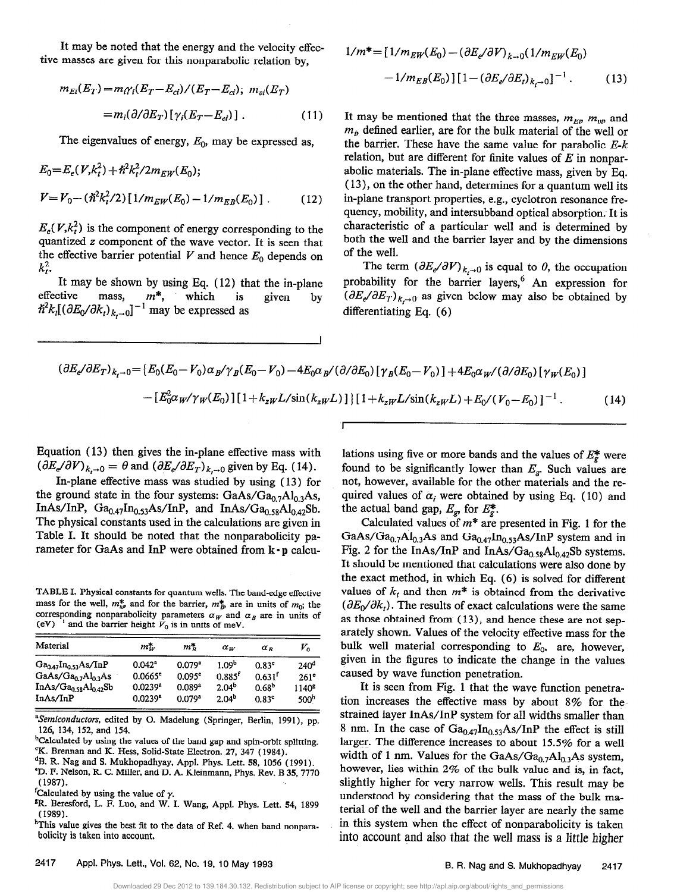It may be noted that the energy and the velocity effective masses are given for this nonparabolic relation by,

$$
m_{El}(E_T) = m_{i} \gamma_i (E_T - E_{ci}) / (E_T - E_{ci}); \ m_{vi}(E_T)
$$

$$
= m_i (\partial / \partial E_T) [\gamma_i (E_T - E_{ci})]. \qquad (11)
$$

The eigenvalues of energy,  $E_0$ , may be expressed as,

$$
E_0 = E_e(V, k_t^2) + \hbar^2 k_t^2 / 2m_{EW}(E_0);
$$
  
\n
$$
V = V_0 - (\hbar^2 k_t^2 / 2) [1/m_{EW}(E_0) - 1/m_{EB}(E_0)] .
$$
 (12)

 $E_e(V, k_t^2)$  is the component of energy corresponding to the quantized z component of the wave vector. It is seen that the effective barrier potential  $V$  and hence  $E_0$  depends on  $k_i^2$ .

It may be shown by using Eq. (12) that the in-plane<br>effective mass,  $m^*$ , which is given by effective mass,  $m^*$ , which is  $\pi_{\kappa}(\partial E_0/\partial \kappa_t)_{k_t\to 0}]$  'may be expressed as given

$$
1/m^* = [1/m_{EW}(E_0) - (\partial E_e/\partial V)_{k \to 0} (1/m_{EW}(E_0) - 1/m_{EB}(E_0)][1 - (\partial E_e/\partial E_t)_{k_t \to 0}]^{-1}.
$$
 (13)

It may be mentioned that the three masses,  $m_{Ei}$ ,  $m_{vij}$ , and  $m<sub>i</sub>$ , defined earlier, are for the bulk material of the well or the barrier. These have the same value for parabolic  $E-k$ relation, but are different for finite values of  $E$  in nonparabolic materials. The in-plane effective mass, given by Eq. (13), on the other hand, determines for a quantum well its in-plane transport properties, e.g., cyclotron resonance frequency, mobility, and intersubband optical absorption. It is characteristic of a particular well and is determined by both the well and the barrier layer and by the dimensions of the well.

The term  $(\partial E_e/\partial V)_{k,\to 0}$  is equal to  $\theta$ , the occupation probability for the barrier layers,<sup>6</sup> An expression for  $(\partial E_e/\partial E_T)_{k,\to 0}$  as given below may also be obtained by differentiating Eq. (6)

$$
(\partial E_e/\partial E_T)_{k_t \to 0} = \{ E_0(E_0 - V_0) \alpha_B/\gamma_B(E_0 - V_0) - 4E_0 \alpha_B/(\partial/\partial E_0) [\gamma_B(E_0 - V_0)] + 4E_0 \alpha_W/(\partial/\partial E_0) [\gamma_W(E_0)] - [E_0^2 \alpha_W/\gamma_W(E_0)] [1 + k_{zW} L/\sin(k_{zW} L)] \} [1 + k_{zW} L/\sin(k_{zW} L) + E_0/(V_0 - E_0)]^{-1}.
$$
 (14)

I

Equation ( 13) then gives the in-plane effective mass with  $(\partial E_c/\partial V)_{k,\to 0} = \theta$  and  $(\partial E_c/\partial E_T)_{k,\to 0}$  given by Eq. (14).

In-plane effective mass was studied by using ( 13) for the ground state in the four systems:  $GaAs/Ga_{0.7}Al_{0.3}As$ , InAs/InP,  $Ga_{0.47}In_{0.53}As/InP$ , and  $InAs/Ga_{0.58}Al_{0.42}Sb$ . The physical constants used in the calculations are given in Table I. It should be noted that the nonparabolicity parameter for GaAs and InP were obtained from  $\mathbf{k} \cdot \mathbf{p}$  calcu-

TABLE I. Physical constants for quantum wells. The band-edge effective mass for the well,  $m^*_{\omega}$ , and for the barrier,  $m^*_{\beta}$ , are in units of  $m_0$ ; the corresponding nonparabolicity parameters  $\alpha_W$  and  $\alpha_B$  are in units of (ev) - and the barrier height  $V_0$  is in units of meV.

| Material<br><b>PERMIT REPORT OF A STATE OF A STATE OF A STATE OF A STATE OF A STATE OF A STATE OF A STATE OF A STATE OF A STA</b> | $m^*_{w}$             | тŦ                   | $\alpha_w$           | $\alpha_{\rm p}$   | И.                |
|-----------------------------------------------------------------------------------------------------------------------------------|-----------------------|----------------------|----------------------|--------------------|-------------------|
| $Ga0.47 In0.53 As/InP$                                                                                                            | $0.042^a$             | 0.079 <sup>a</sup>   | 1 09 <sub>p</sub>    | 0.83 <sup>c</sup>  | 240 <sup>d</sup>  |
| GaAs/ $Ga0.7Al0.3As$                                                                                                              | $0.0665$ <sup>e</sup> | 0.095 <sup>e</sup>   | $0.885$ <sup>f</sup> | 0.631 <sup>f</sup> | 261 <sup>e</sup>  |
| InAs/ $Ga0.58Al0.42Sb$                                                                                                            | 0.0239 <sup>a</sup>   | $0.089$ <sup>a</sup> | 2.04 <sup>b</sup>    | 0.68 <sup>b</sup>  | 1140 <sup>g</sup> |
| InAs/InP                                                                                                                          | $0.0239$ <sup>a</sup> | $0.079$ <sup>a</sup> | 2.04 <sup>b</sup>    | 0.83 <sup>c</sup>  | 500 <sup>h</sup>  |

<sup>&</sup>lt;sup>a</sup>Semiconductors, edited by O. Madelung (Springer, Berlin, 1991), pp. 126, 134, 152, and 154.

<sup>b</sup>Calculated by using the values of the band gap and spin-orbit splitting. 'K. Brennan and K. Hess, Solid-State Electron. 27, 347 (1984).

- <sup>d</sup>B. R. Nag and S. Mukhopadhyay, Appl. Phys. Lett. 58, 1056 (1991).
- 'D. F. Nelson, R. C. Miller, and D. A. Kleinmann, Phys. Rev. B 35,777O (1987).

'R. Beresford, L. F. Luo, and W. I. Wang, Appl. Phys. Lett. 54, 1899 (1989).

<sup>h</sup>This value gives the best fit to the data of Ref. 4, when band nonparabolicity is taken into account.

lations using five or more bands and the values of  $E_g^*$  were found to be significantly lower than  $E_g$ . Such values are not, however, available for the other materials and the required values of  $\alpha_i$  were obtained by using Eq. (10) and the actual band gap,  $E_g$ , for  $E_g^*$ .

Calculated values of  $m^*$  are presented in Fig. 1 for the GaAs/Ga<sub>0.7</sub>Al<sub>0.3</sub>As and Ga<sub>0.47</sub>In<sub>0.53</sub>As/InP system and in Fig. 2 for the InAs/InP and InAs/Ga<sub>0.58</sub>Al<sub>0.42</sub>Sb systems. It should be mentioned that calculations were also done by the exact method, in which Eq. (6) is solved for different values of  $k_t$  and then  $m^*$  is obtained from the derivative  $(\partial E_0/\partial k_t)$ . The results of exact calculations were the same as those obtained from ( 13), and hence these are not separately shown. Values of the velocity effective mass for the bulk well material corresponding to  $E_0$ , are, however, given in the figures to indicate the change in the values caused by wave function penetration.

It is seen from Fig. 1 that the wave function penetration increases the effective mass by about 8% for the. strained layer InAs/InP system for all widths smaller than 8 nm. In the case of  $Ga_{0.47}In_{0.53}As/InP$  the effect is still larger. The difference increases to about 15.5% for a well width of 1 nm. Values for the GaAs/Ga<sub>0.7</sub>Al<sub>0.3</sub>As system, however, lies within 2% of the bulk value and is, in fact, slightly higher for very narrow wells. This result may be understood by considering that the mass of the bulk material of the well and the barrier layer are nearly the same in this system when the effect of nonparabolicity is taken into account and also that the well mass is a little higher

<sup>&</sup>lt;sup>f</sup>Calculated by using the value of  $\gamma$ .